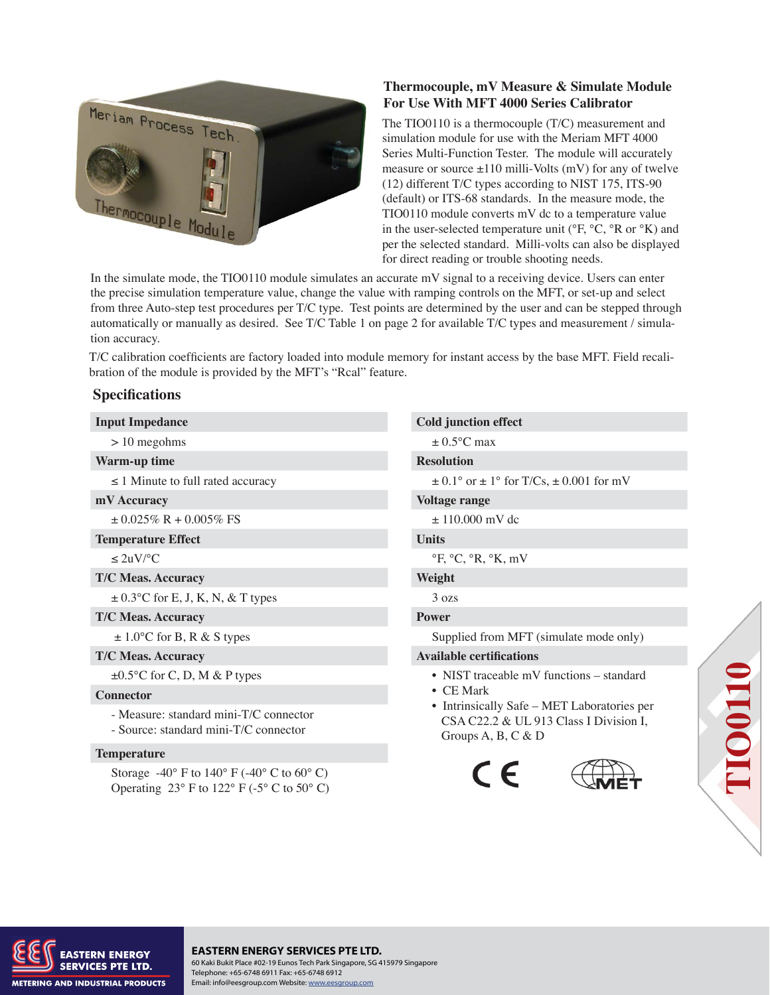

# **Thermocouple, mV Measure & Simulate Module For Use With MFT 4000 Series Calibrator**

The TIO0110 is a thermocouple (T/C) measurement and simulation module for use with the Meriam MFT 4000 Series Multi-Function Tester. The module will accurately measure or source  $\pm 110$  milli-Volts (mV) for any of twelve (12) different T/C types according to NIST 175, ITS-90 (default) or ITS-68 standards. In the measure mode, the TIO0110 module converts mV dc to a temperature value in the user-selected temperature unit (°F, °C, °R or °K) and per the selected standard. Milli-volts can also be displayed for direct reading or trouble shooting needs.

In the simulate mode, the TIO0110 module simulates an accurate mV signal to a receiving device. Users can enter the precise simulation temperature value, change the value with ramping controls on the MFT, or set-up and select from three Auto-step test procedures per T/C type. Test points are determined by the user and can be stepped through automatically or manually as desired. See T/C Table 1 on page 2 for available T/C types and measurement / simulation accuracy.

T/C calibration coefficients are factory loaded into module memory for instant access by the base MFT. Field recalibration of the module is provided by the MFT's "Rcal" feature.

# **Specifications**

### **Warm-up time Resolution**

 $\pm 0.025\%$  R + 0.005% FS  $\pm 110.000$  mV dc

### **Temperature Effect Units**

### **T/C Meas. Accuracy Weight**

 $\pm$  0.3°C for E, J, K, N, & T types 3 ozs

**T/C Meas. Accuracy Power** 

### **Connector**

 - Measure: standard mini-T/C connector - Source: standard mini-T/C connector

### **Temperature**

Storage  $-40^{\circ}$  F to  $140^{\circ}$  F  $(-40^{\circ}$  C to  $60^{\circ}$  C) Operating  $23^\circ$  F to  $122^\circ$  F (-5° C to 50° C)

**Input Impedance** Cold junction effect  $> 10$  megohms  $\pm 0.5$ °C max  $\leq 1$  Minute to full rated accuracy  $\pm 0.1^{\circ}$  or  $\pm 1^{\circ}$  for T/Cs,  $\pm 0.001$  for mV **mV Accuracy** Voltage range  $\leq 2uV$ /°C °F, °C, °R, °K, mV  $\pm 1.0^{\circ}$ C for B, R & S types Supplied from MFT (simulate mode only) **T/C Meas. Accuracy Available certifications** 

- ±0.5°C for C, D, M & P types NIST traceable mV functions standard
	- CE Mark
	- Intrinsically Safe MET Laboratories per CSA C22.2 & UL 913 Class I Division I, Groups A, B, C & D







## **EASTERN ENERGY SERVICES PTE LTD.**

 $\mathbf{y}_\mathrm{DOP}$  is a set of the solution of the solution of the solution of the solution of the solution of the solution 60 Kaki Bukit Place #02-19 Eunos Tech Park Singapore, SG 415979 Singapore Telephone: +65-6748 6911 Fax: +65-6748 6912 Email: info@eesgroup.com Website: www.eesgroup.com